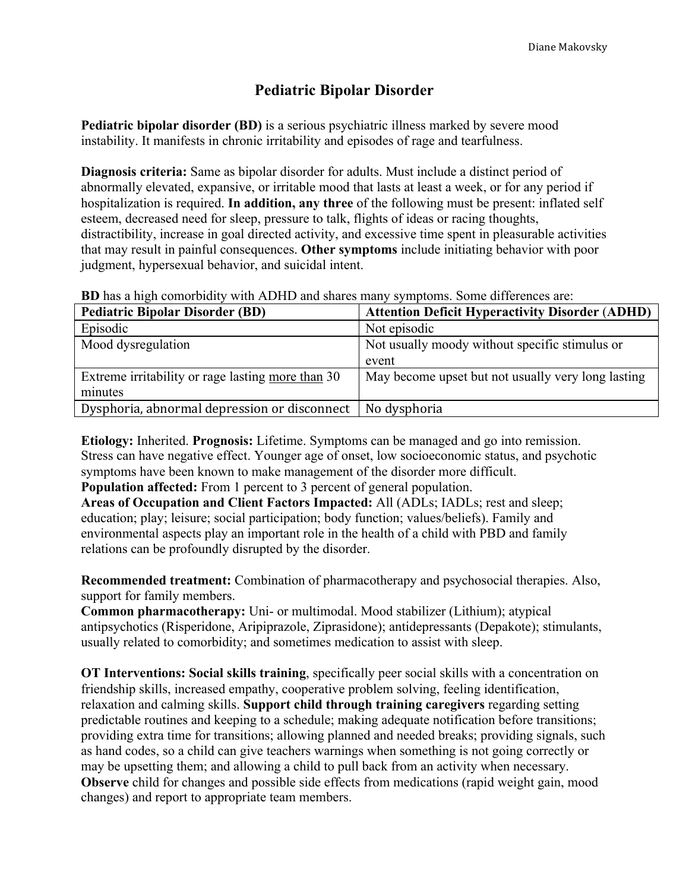## **Pediatric Bipolar Disorder**

**Pediatric bipolar disorder (BD)** is a serious psychiatric illness marked by severe mood instability. It manifests in chronic irritability and episodes of rage and tearfulness.

**Diagnosis criteria:** Same as bipolar disorder for adults. Must include a distinct period of abnormally elevated, expansive, or irritable mood that lasts at least a week, or for any period if hospitalization is required. **In addition, any three** of the following must be present: inflated self esteem, decreased need for sleep, pressure to talk, flights of ideas or racing thoughts, distractibility, increase in goal directed activity, and excessive time spent in pleasurable activities that may result in painful consequences. **Other symptoms** include initiating behavior with poor judgment, hypersexual behavior, and suicidal intent.

**BD** has a high comorbidity with ADHD and shares many symptoms. Some differences are:

| <b>Pediatric Bipolar Disorder (BD)</b>            | <b>Attention Deficit Hyperactivity Disorder (ADHD)</b> |
|---------------------------------------------------|--------------------------------------------------------|
| Episodic                                          | Not episodic                                           |
| Mood dysregulation                                | Not usually moody without specific stimulus or         |
|                                                   | event                                                  |
| Extreme irritability or rage lasting more than 30 | May become upset but not usually very long lasting     |
| minutes                                           |                                                        |
| Dysphoria, abnormal depression or disconnect      | No dysphoria                                           |

**Etiology:** Inherited. **Prognosis:** Lifetime. Symptoms can be managed and go into remission. Stress can have negative effect. Younger age of onset, low socioeconomic status, and psychotic symptoms have been known to make management of the disorder more difficult.

**Population affected:** From 1 percent to 3 percent of general population.

**Areas of Occupation and Client Factors Impacted:** All (ADLs; IADLs; rest and sleep; education; play; leisure; social participation; body function; values/beliefs). Family and environmental aspects play an important role in the health of a child with PBD and family relations can be profoundly disrupted by the disorder.

**Recommended treatment:** Combination of pharmacotherapy and psychosocial therapies. Also, support for family members.

**Common pharmacotherapy:** Uni- or multimodal. Mood stabilizer (Lithium); atypical antipsychotics (Risperidone, Aripiprazole, Ziprasidone); antidepressants (Depakote); stimulants, usually related to comorbidity; and sometimes medication to assist with sleep.

**OT Interventions: Social skills training**, specifically peer social skills with a concentration on friendship skills, increased empathy, cooperative problem solving, feeling identification, relaxation and calming skills. **Support child through training caregivers** regarding setting predictable routines and keeping to a schedule; making adequate notification before transitions; providing extra time for transitions; allowing planned and needed breaks; providing signals, such as hand codes, so a child can give teachers warnings when something is not going correctly or may be upsetting them; and allowing a child to pull back from an activity when necessary. **Observe** child for changes and possible side effects from medications (rapid weight gain, mood changes) and report to appropriate team members.